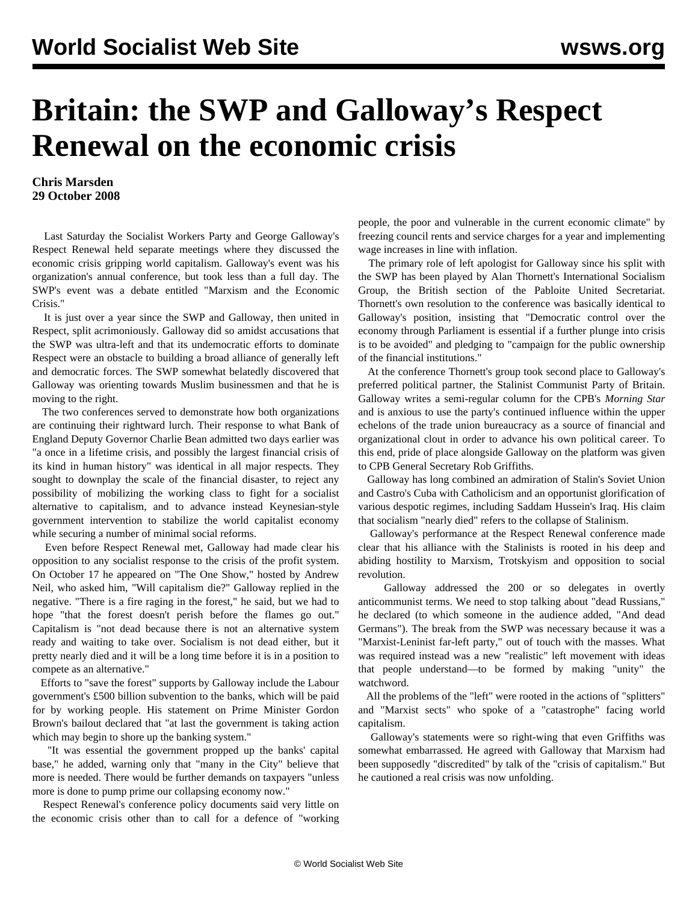## **Britain: the SWP and Galloway's Respect Renewal on the economic crisis**

## **Chris Marsden 29 October 2008**

 Last Saturday the Socialist Workers Party and George Galloway's Respect Renewal held separate meetings where they discussed the economic crisis gripping world capitalism. Galloway's event was his organization's annual conference, but took less than a full day. The SWP's event was a debate entitled "Marxism and the Economic Crisis."

 It is just over a year since the SWP and Galloway, then united in Respect, split acrimoniously. Galloway did so amidst accusations that the SWP was ultra-left and that its undemocratic efforts to dominate Respect were an obstacle to building a broad alliance of generally left and democratic forces. The SWP somewhat belatedly discovered that Galloway was orienting towards Muslim businessmen and that he is moving to the right.

 The two conferences served to demonstrate how both organizations are continuing their rightward lurch. Their response to what Bank of England Deputy Governor Charlie Bean admitted two days earlier was "a once in a lifetime crisis, and possibly the largest financial crisis of its kind in human history" was identical in all major respects. They sought to downplay the scale of the financial disaster, to reject any possibility of mobilizing the working class to fight for a socialist alternative to capitalism, and to advance instead Keynesian-style government intervention to stabilize the world capitalist economy while securing a number of minimal social reforms.

 Even before Respect Renewal met, Galloway had made clear his opposition to any socialist response to the crisis of the profit system. On October 17 he appeared on "The One Show," hosted by Andrew Neil, who asked him, "Will capitalism die?" Galloway replied in the negative. "There is a fire raging in the forest," he said, but we had to hope "that the forest doesn't perish before the flames go out." Capitalism is "not dead because there is not an alternative system ready and waiting to take over. Socialism is not dead either, but it pretty nearly died and it will be a long time before it is in a position to compete as an alternative."

 Efforts to "save the forest" supports by Galloway include the Labour government's £500 billion subvention to the banks, which will be paid for by working people. His statement on Prime Minister Gordon Brown's bailout declared that "at last the government is taking action which may begin to shore up the banking system."

 "It was essential the government propped up the banks' capital base," he added, warning only that "many in the City" believe that more is needed. There would be further demands on taxpayers "unless more is done to pump prime our collapsing economy now."

 Respect Renewal's conference policy documents said very little on the economic crisis other than to call for a defence of "working people, the poor and vulnerable in the current economic climate" by freezing council rents and service charges for a year and implementing wage increases in line with inflation.

 The primary role of left apologist for Galloway since his split with the SWP has been played by Alan Thornett's International Socialism Group, the British section of the Pabloite United Secretariat. Thornett's own resolution to the conference was basically identical to Galloway's position, insisting that "Democratic control over the economy through Parliament is essential if a further plunge into crisis is to be avoided" and pledging to "campaign for the public ownership of the financial institutions."

 At the conference Thornett's group took second place to Galloway's preferred political partner, the Stalinist Communist Party of Britain. Galloway writes a semi-regular column for the CPB's *Morning Star* and is anxious to use the party's continued influence within the upper echelons of the trade union bureaucracy as a source of financial and organizational clout in order to advance his own political career. To this end, pride of place alongside Galloway on the platform was given to CPB General Secretary Rob Griffiths.

 Galloway has long combined an admiration of Stalin's Soviet Union and Castro's Cuba with Catholicism and an opportunist glorification of various despotic regimes, including Saddam Hussein's Iraq. His claim that socialism "nearly died" refers to the collapse of Stalinism.

 Galloway's performance at the Respect Renewal conference made clear that his alliance with the Stalinists is rooted in his deep and abiding hostility to Marxism, Trotskyism and opposition to social revolution.

 Galloway addressed the 200 or so delegates in overtly anticommunist terms. We need to stop talking about "dead Russians," he declared (to which someone in the audience added, "And dead Germans"). The break from the SWP was necessary because it was a "Marxist-Leninist far-left party," out of touch with the masses. What was required instead was a new "realistic" left movement with ideas that people understand—to be formed by making "unity" the watchword.

 All the problems of the "left" were rooted in the actions of "splitters" and "Marxist sects" who spoke of a "catastrophe" facing world capitalism.

 Galloway's statements were so right-wing that even Griffiths was somewhat embarrassed. He agreed with Galloway that Marxism had been supposedly "discredited" by talk of the "crisis of capitalism." But he cautioned a real crisis was now unfolding.